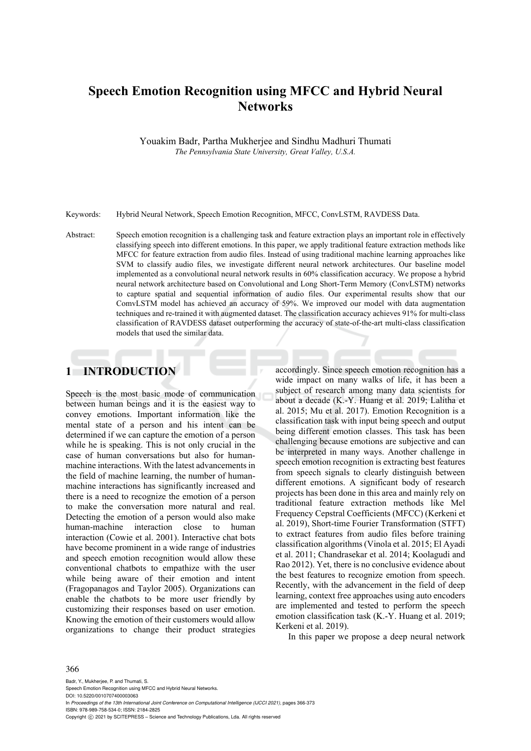# **Speech Emotion Recognition using MFCC and Hybrid Neural Networks**

Youakim Badr, Partha Mukherjee and Sindhu Madhuri Thumati *The Pennsylvania State University, Great Valley, U.S.A.* 

Keywords: Hybrid Neural Network, Speech Emotion Recognition, MFCC, ConvLSTM, RAVDESS Data.

Abstract: Speech emotion recognition is a challenging task and feature extraction plays an important role in effectively classifying speech into different emotions. In this paper, we apply traditional feature extraction methods like MFCC for feature extraction from audio files. Instead of using traditional machine learning approaches like SVM to classify audio files, we investigate different neural network architectures. Our baseline model implemented as a convolutional neural network results in 60% classification accuracy. We propose a hybrid neural network architecture based on Convolutional and Long Short-Term Memory (ConvLSTM) networks to capture spatial and sequential information of audio files. Our experimental results show that our ComvLSTM model has achieved an accuracy of 59%. We improved our model with data augmentation techniques and re-trained it with augmented dataset. The classification accuracy achieves 91% for multi-class classification of RAVDESS dataset outperforming the accuracy of state-of-the-art multi-class classification models that used the similar data.

### **1 INTRODUCTION**

Speech is the most basic mode of communication between human beings and it is the easiest way to convey emotions. Important information like the mental state of a person and his intent can be determined if we can capture the emotion of a person while he is speaking. This is not only crucial in the case of human conversations but also for humanmachine interactions. With the latest advancements in the field of machine learning, the number of humanmachine interactions has significantly increased and there is a need to recognize the emotion of a person to make the conversation more natural and real. Detecting the emotion of a person would also make human-machine interaction close to human interaction (Cowie et al. 2001). Interactive chat bots have become prominent in a wide range of industries and speech emotion recognition would allow these conventional chatbots to empathize with the user while being aware of their emotion and intent (Fragopanagos and Taylor 2005). Organizations can enable the chatbots to be more user friendly by customizing their responses based on user emotion. Knowing the emotion of their customers would allow organizations to change their product strategies

accordingly. Since speech emotion recognition has a wide impact on many walks of life, it has been a subject of research among many data scientists for about a decade (K.-Y. Huang et al. 2019; Lalitha et al. 2015; Mu et al. 2017). Emotion Recognition is a classification task with input being speech and output being different emotion classes. This task has been challenging because emotions are subjective and can be interpreted in many ways. Another challenge in speech emotion recognition is extracting best features from speech signals to clearly distinguish between different emotions. A significant body of research projects has been done in this area and mainly rely on traditional feature extraction methods like Mel Frequency Cepstral Coefficients (MFCC) (Kerkeni et al. 2019), Short-time Fourier Transformation (STFT) to extract features from audio files before training classification algorithms (Vinola et al. 2015; El Ayadi et al. 2011; Chandrasekar et al. 2014; Koolagudi and Rao 2012). Yet, there is no conclusive evidence about the best features to recognize emotion from speech. Recently, with the advancement in the field of deep learning, context free approaches using auto encoders are implemented and tested to perform the speech emotion classification task (K.-Y. Huang et al. 2019; Kerkeni et al. 2019).

In this paper we propose a deep neural network

#### 366

Badr, Y., Mukherjee, P. and Thumati, S. Speech Emotion Recognition using MFCC and Hybrid Neural Networks. DOI: 10.5220/0010707400003063 In *Proceedings of the 13th International Joint Conference on Computational Intelligence (IJCCI 2021)*, pages 366-373 ISBN: 978-989-758-534-0; ISSN: 2184-2825 Copyright (C) 2021 by SCITEPRESS - Science and Technology Publications, Lda. All rights reserved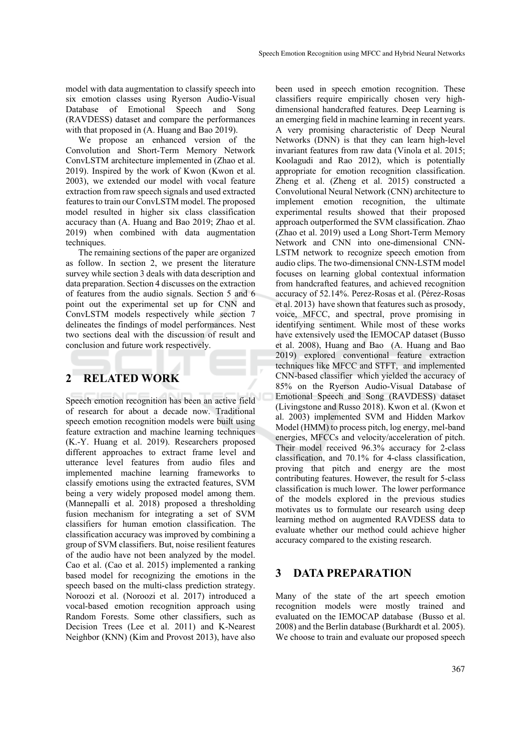model with data augmentation to classify speech into six emotion classes using Ryerson Audio-Visual Database of Emotional Speech and Song (RAVDESS) dataset and compare the performances with that proposed in (A. Huang and Bao 2019).

We propose an enhanced version of the Convolution and Short-Term Memory Network ConvLSTM architecture implemented in (Zhao et al. 2019). Inspired by the work of Kwon (Kwon et al. 2003), we extended our model with vocal feature extraction from raw speech signals and used extracted features to train our ConvLSTM model. The proposed model resulted in higher six class classification accuracy than (A. Huang and Bao 2019; Zhao et al. 2019) when combined with data augmentation techniques.

The remaining sections of the paper are organized as follow. In section 2, we present the literature survey while section 3 deals with data description and data preparation. Section 4 discusses on the extraction of features from the audio signals. Section 5 and 6 point out the experimental set up for CNN and ConvLSTM models respectively while section 7 delineates the findings of model performances. Nest two sections deal with the discussion of result and conclusion and future work respectively.

### **2 RELATED WORK**

Speech emotion recognition has been an active field of research for about a decade now. Traditional speech emotion recognition models were built using feature extraction and machine learning techniques (K.-Y. Huang et al. 2019). Researchers proposed different approaches to extract frame level and utterance level features from audio files and implemented machine learning frameworks to classify emotions using the extracted features, SVM being a very widely proposed model among them. (Mannepalli et al. 2018) proposed a thresholding fusion mechanism for integrating a set of SVM classifiers for human emotion classification. The classification accuracy was improved by combining a group of SVM classifiers. But, noise resilient features of the audio have not been analyzed by the model. Cao et al. (Cao et al. 2015) implemented a ranking based model for recognizing the emotions in the speech based on the multi-class prediction strategy. Noroozi et al. (Noroozi et al. 2017) introduced a vocal-based emotion recognition approach using Random Forests. Some other classifiers, such as Decision Trees (Lee et al. 2011) and K-Nearest Neighbor (KNN) (Kim and Provost 2013), have also

been used in speech emotion recognition. These classifiers require empirically chosen very highdimensional handcrafted features. Deep Learning is an emerging field in machine learning in recent years. A very promising characteristic of Deep Neural Networks (DNN) is that they can learn high-level invariant features from raw data (Vinola et al. 2015; Koolagudi and Rao 2012), which is potentially appropriate for emotion recognition classification. Zheng et al. (Zheng et al. 2015) constructed a Convolutional Neural Network (CNN) architecture to implement emotion recognition, the ultimate experimental results showed that their proposed approach outperformed the SVM classification. Zhao (Zhao et al. 2019) used a Long Short-Term Memory Network and CNN into one-dimensional CNN-LSTM network to recognize speech emotion from audio clips. The two-dimensional CNN-LSTM model focuses on learning global contextual information from handcrafted features, and achieved recognition accuracy of 52.14%. Perez-Rosas et al. (Pérez-Rosas et al. 2013) have shown that features such as prosody, voice, MFCC, and spectral, prove promising in identifying sentiment. While most of these works have extensively used the IEMOCAP dataset (Busso et al. 2008), Huang and Bao (A. Huang and Bao 2019) explored conventional feature extraction techniques like MFCC and STFT, and implemented CNN-based classifier which yielded the accuracy of 85% on the Ryerson Audio-Visual Database of Emotional Speech and Song (RAVDESS) dataset (Livingstone and Russo 2018). Kwon et al. (Kwon et al. 2003) implemented SVM and Hidden Markov Model (HMM) to process pitch, log energy, mel-band energies, MFCCs and velocity/acceleration of pitch. Their model received 96.3% accuracy for 2-class classification, and 70.1% for 4-class classification, proving that pitch and energy are the most contributing features. However, the result for 5-class classification is much lower. The lower performance of the models explored in the previous studies motivates us to formulate our research using deep learning method on augmented RAVDESS data to evaluate whether our method could achieve higher accuracy compared to the existing research.

### **3 DATA PREPARATION**

Many of the state of the art speech emotion recognition models were mostly trained and evaluated on the IEMOCAP database (Busso et al. 2008) and the Berlin database (Burkhardt et al. 2005). We choose to train and evaluate our proposed speech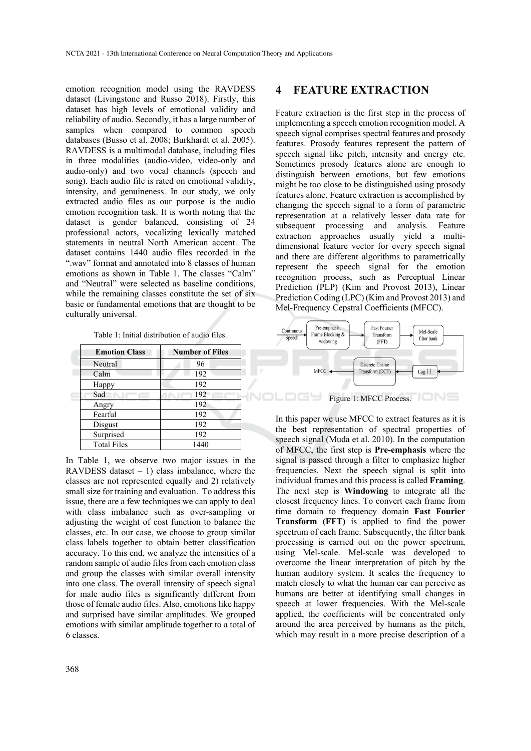emotion recognition model using the RAVDESS dataset (Livingstone and Russo 2018). Firstly, this dataset has high levels of emotional validity and reliability of audio. Secondly, it has a large number of samples when compared to common speech databases (Busso et al. 2008; Burkhardt et al. 2005). RAVDESS is a multimodal database, including files in three modalities (audio-video, video-only and audio-only) and two vocal channels (speech and song). Each audio file is rated on emotional validity, intensity, and genuineness. In our study, we only extracted audio files as our purpose is the audio emotion recognition task. It is worth noting that the dataset is gender balanced, consisting of 24 professional actors, vocalizing lexically matched statements in neutral North American accent. The dataset contains 1440 audio files recorded in the ".wav" format and annotated into 8 classes of human emotions as shown in Table 1. The classes "Calm" and "Neutral" were selected as baseline conditions, while the remaining classes constitute the set of six basic or fundamental emotions that are thought to be culturally universal.

Table 1: Initial distribution of audio files.

| <b>Emotion Class</b> | <b>Number of Files</b> |
|----------------------|------------------------|
| Neutral              | 96                     |
| Calm                 | 192                    |
| Happy                | 192                    |
| Sad                  | 192                    |
| Angry                | 192                    |
| Fearful              | 192                    |
| Disgust              | 192                    |
| Surprised            | 192                    |
| <b>Total Files</b>   | 1440                   |

In Table 1, we observe two major issues in the RAVDESS dataset  $-1$ ) class imbalance, where the classes are not represented equally and 2) relatively small size for training and evaluation. To address this issue, there are a few techniques we can apply to deal with class imbalance such as over-sampling or adjusting the weight of cost function to balance the classes, etc. In our case, we choose to group similar class labels together to obtain better classification accuracy. To this end, we analyze the intensities of a random sample of audio files from each emotion class and group the classes with similar overall intensity into one class. The overall intensity of speech signal for male audio files is significantly different from those of female audio files. Also, emotions like happy and surprised have similar amplitudes. We grouped emotions with similar amplitude together to a total of 6 classes.

#### **4 FEATURE EXTRACTION**

Feature extraction is the first step in the process of implementing a speech emotion recognition model. A speech signal comprises spectral features and prosody features. Prosody features represent the pattern of speech signal like pitch, intensity and energy etc. Sometimes prosody features alone are enough to distinguish between emotions, but few emotions might be too close to be distinguished using prosody features alone. Feature extraction is accomplished by changing the speech signal to a form of parametric representation at a relatively lesser data rate for subsequent processing and analysis. Feature extraction approaches usually yield a multidimensional feature vector for every speech signal and there are different algorithms to parametrically represent the speech signal for the emotion recognition process, such as Perceptual Linear Prediction (PLP) (Kim and Provost 2013), Linear Prediction Coding (LPC) (Kim and Provost 2013) and Mel-Frequency Cepstral Coefficients (MFCC).



In this paper we use MFCC to extract features as it is the best representation of spectral properties of speech signal (Muda et al. 2010). In the computation of MFCC, the first step is **Pre-emphasis** where the signal is passed through a filter to emphasize higher frequencies. Next the speech signal is split into individual frames and this process is called **Framing**. The next step is **Windowing** to integrate all the closest frequency lines. To convert each frame from time domain to frequency domain **Fast Fourier Transform (FFT)** is applied to find the power spectrum of each frame. Subsequently, the filter bank processing is carried out on the power spectrum, using Mel-scale. Mel-scale was developed to overcome the linear interpretation of pitch by the human auditory system. It scales the frequency to match closely to what the human ear can perceive as humans are better at identifying small changes in speech at lower frequencies. With the Mel-scale applied, the coefficients will be concentrated only around the area perceived by humans as the pitch, which may result in a more precise description of a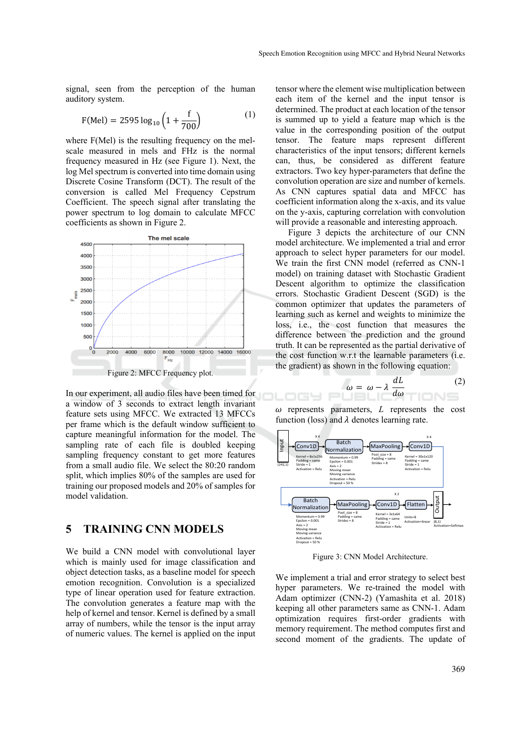signal, seen from the perception of the human auditory system.

$$
F(Mel) = 2595 \log_{10} \left( 1 + \frac{f}{700} \right) \tag{1}
$$

where F(Mel) is the resulting frequency on the melscale measured in mels and FHz is the normal frequency measured in Hz (see Figure 1). Next, the log Mel spectrum is converted into time domain using Discrete Cosine Transform (DCT). The result of the conversion is called Mel Frequency Cepstrum Coefficient. The speech signal after translating the power spectrum to log domain to calculate MFCC coefficients as shown in Figure 2.



In our experiment, all audio files have been timed for a window of 3 seconds to extract length invariant feature sets using MFCC. We extracted 13 MFCCs per frame which is the default window sufficient to capture meaningful information for the model. The sampling rate of each file is doubled keeping sampling frequency constant to get more features from a small audio file. We select the 80:20 random split, which implies 80% of the samples are used for training our proposed models and 20% of samples for model validation.

#### **5 TRAINING CNN MODELS**

We build a CNN model with convolutional layer which is mainly used for image classification and object detection tasks, as a baseline model for speech emotion recognition. Convolution is a specialized type of linear operation used for feature extraction. The convolution generates a feature map with the help of kernel and tensor. Kernel is defined by a small array of numbers, while the tensor is the input array of numeric values. The kernel is applied on the input

tensor where the element wise multiplication between each item of the kernel and the input tensor is determined. The product at each location of the tensor is summed up to yield a feature map which is the value in the corresponding position of the output tensor. The feature maps represent different characteristics of the input tensors; different kernels can, thus, be considered as different feature extractors. Two key hyper-parameters that define the convolution operation are size and number of kernels. As CNN captures spatial data and MFCC has coefficient information along the x-axis, and its value on the y-axis, capturing correlation with convolution will provide a reasonable and interesting approach.

Figure 3 depicts the architecture of our CNN model architecture. We implemented a trial and error approach to select hyper parameters for our model. We train the first CNN model (referred as CNN-1 model) on training dataset with Stochastic Gradient Descent algorithm to optimize the classification errors. Stochastic Gradient Descent (SGD) is the common optimizer that updates the parameters of learning such as kernel and weights to minimize the loss, i.e., the cost function that measures the difference between the prediction and the ground truth. It can be represented as the partial derivative of the cost function w.r.t the learnable parameters (i.e. the gradient) as shown in the following equation:

$$
\omega = \omega - \lambda \frac{dL}{d\omega} \tag{2}
$$

 $\omega$  represents parameters,  $L$  represents the cost function (loss) and  $\lambda$  denotes learning rate.

コロー



Figure 3: CNN Model Architecture.

We implement a trial and error strategy to select best hyper parameters. We re-trained the model with Adam optimizer (CNN-2) (Yamashita et al. 2018) keeping all other parameters same as CNN-1. Adam optimization requires first-order gradients with memory requirement. The method computes first and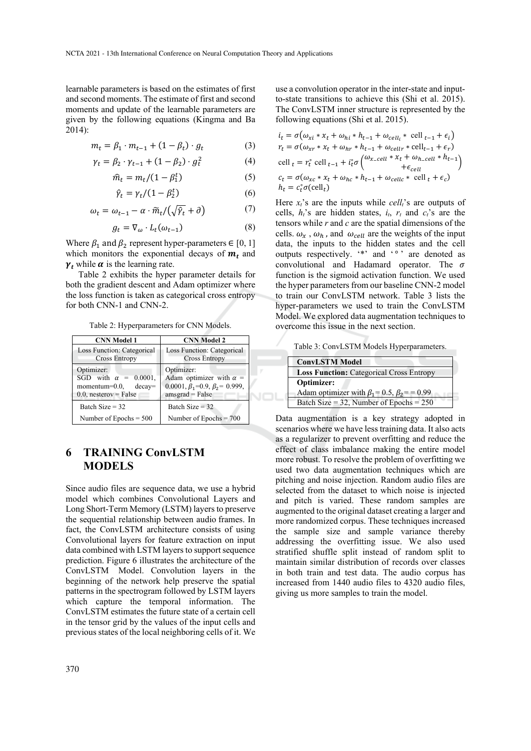learnable parameters is based on the estimates of first and second moments. The estimate of first and second moments and update of the learnable parameters are given by the following equations (Kingma and Ba 2014):

$$
m_t = \beta_1 \cdot m_{t-1} + (1 - \beta_t) \cdot g_t \tag{3}
$$

$$
\gamma_t = \beta_2 \cdot \gamma_{t-1} + (1 - \beta_2) \cdot g_t^2 \tag{4}
$$

$$
\hat{m}_t = m_t/(1 - \beta_1^t) \tag{5}
$$

$$
\hat{\gamma}_t = \gamma_t / (1 - \beta_2^t) \tag{6}
$$

$$
\omega_t = \omega_{t-1} - \alpha \cdot \widetilde{m}_t / (\sqrt{\widehat{\gamma}_t} + \partial) \tag{7}
$$

$$
g_t = \nabla_\omega \cdot L_t(\omega_{t-1}) \tag{8}
$$

Where  $\beta_1$  and  $\beta_2$  represent hyper-parameters  $\in [0, 1]$ which monitors the exponential decays of  $m_t$  and  $\gamma_t$  while  $\alpha$  is the learning rate.

Table 2 exhibits the hyper parameter details for both the gradient descent and Adam optimizer where the loss function is taken as categorical cross entropy for both CNN-1 and CNN-2.

Table 2: Hyperparameters for CNN Models.

| <b>CNN Model 1</b>                                                                                     | <b>CNN Model 2</b>                                                                                              |    |
|--------------------------------------------------------------------------------------------------------|-----------------------------------------------------------------------------------------------------------------|----|
| Loss Function: Categorical<br><b>Cross Entropy</b>                                                     | Loss Function: Categorical<br><b>Cross Entropy</b>                                                              |    |
| Optimizer:<br>SGD with $\alpha = 0.0001$ .<br>$momentum=0.0$ ,<br>$decay=$<br>$0.0$ , nesterov = False | Optimizer:<br>Adam optimizer with $\alpha$ =<br>0.0001, $\beta_1$ =0.9, $\beta_2$ = 0.999,<br>$amsgrad = False$ |    |
| Batch Size $=$ 32                                                                                      | Batch Size = $32$                                                                                               |    |
| Number of Epochs $= 500$                                                                               | Number of Epochs $= 700$                                                                                        | Dź |

### **6 TRAINING ConvLSTM MODELS**

Since audio files are sequence data, we use a hybrid model which combines Convolutional Layers and Long Short-Term Memory (LSTM) layers to preserve the sequential relationship between audio frames. In fact, the ConvLSTM architecture consists of using Convolutional layers for feature extraction on input data combined with LSTM layers to support sequence prediction. Figure 6 illustrates the architecture of the ConvLSTM Model. Convolution layers in the beginning of the network help preserve the spatial patterns in the spectrogram followed by LSTM layers which capture the temporal information. The ConvLSTM estimates the future state of a certain cell in the tensor grid by the values of the input cells and previous states of the local neighboring cells of it. We

use a convolution operator in the inter-state and inputto-state transitions to achieve this (Shi et al. 2015). The ConvLSTM inner structure is represented by the following equations (Shi et al. 2015).

$$
i_t = \sigma(\omega_{xi} * x_t + \omega_{hi} * h_{t-1} + \omega_{cell_i} * \text{ cell }_{t-1} + \epsilon_i)
$$
  
\n
$$
r_t = \sigma(\omega_{xr} * x_t + \omega_{hr} * h_{t-1} + \omega_{cellr} * \text{ cell}_{t-1} + \epsilon_r)
$$
  
\ncell 
$$
i_t = r_t^{\circ} \text{ cell }_{t-1} + i_t^{\circ} \sigma\left(\frac{\omega_{x \text{ cell}} * x_t + \omega_{h \text{cell}} * h_{t-1}}{+ \epsilon_{cell}}\right)
$$
  
\n
$$
c_t = \sigma(\omega_{xc} * x_t + \omega_{hc} * h_{t-1} + \omega_{cellc} * \text{ cell }_t + \epsilon_c)
$$
  
\n
$$
h_t = c_t^{\circ} \sigma(\text{cell}_t)
$$

Here  $x_t$ 's are the inputs while *cell<sub>t</sub>*'s are outputs of cells,  $h_t$ 's are hidden states,  $i_t$ ,  $r_t$  and  $c_t$ 's are the tensors while *r* and *c* are the spatial dimensions of the cells.  $\omega_x$ ,  $\omega_h$ , and  $\omega_{cell}$  are the weights of the input data, the inputs to the hidden states and the cell outputs respectively. "\*' and '°' are denoted as convolutional and Hadamard operator. The  $\sigma$ function is the sigmoid activation function. We used the hyper parameters from our baseline CNN-2 model to train our ConvLSTM network. Table 3 lists the hyper-parameters we used to train the ConvLSTM Model. We explored data augmentation techniques to overcome this issue in the next section.

Table 3: ConvLSTM Models Hyperparameters.

| <b>ConvLSTM Model</b>                                  |  |
|--------------------------------------------------------|--|
| <b>Loss Function: Categorical Cross Entropy</b>        |  |
| Optimizer:                                             |  |
| Adam optimizer with $\beta_1 = 0.5$ , $\beta_2 = 0.99$ |  |
| Batch Size = 32, Number of Epochs = $250$              |  |

Data augmentation is a key strategy adopted in scenarios where we have less training data. It also acts as a regularizer to prevent overfitting and reduce the effect of class imbalance making the entire model more robust. To resolve the problem of overfitting we used two data augmentation techniques which are pitching and noise injection. Random audio files are selected from the dataset to which noise is injected and pitch is varied. These random samples are augmented to the original dataset creating a larger and more randomized corpus. These techniques increased the sample size and sample variance thereby addressing the overfitting issue. We also used stratified shuffle split instead of random split to maintain similar distribution of records over classes in both train and test data. The audio corpus has increased from 1440 audio files to 4320 audio files, giving us more samples to train the model.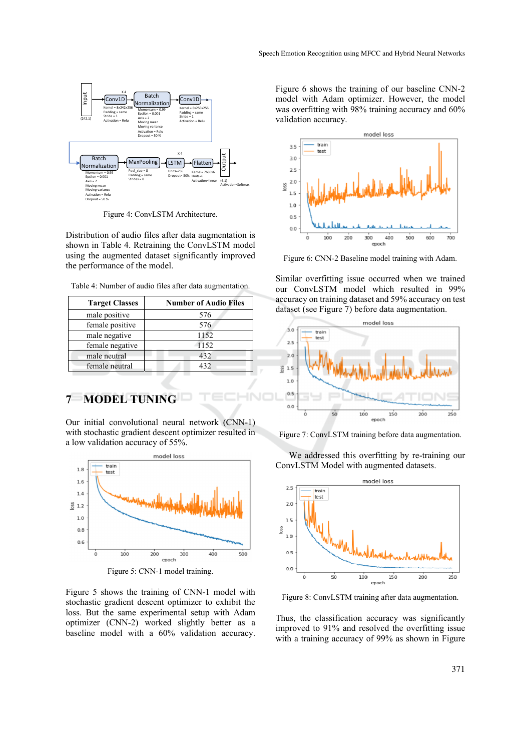

Figure 4: ConvLSTM Architecture.

Distribution of audio files after data augmentation is shown in Table 4. Retraining the ConvLSTM model using the augmented dataset significantly improved the performance of the model.

| Table 4: Number of audio files after data augmentation. |  |  |
|---------------------------------------------------------|--|--|
|                                                         |  |  |

| <b>Target Classes</b> | <b>Number of Audio Files</b> |
|-----------------------|------------------------------|
| male positive         | 576                          |
| female positive       | 576                          |
| male negative         | 1152                         |
| female negative       | 1152                         |
| male neutral          | 432                          |
| female neutral        | 432                          |

### **7 MODEL TUNING**

Our initial convolutional neural network (CNN-1) with stochastic gradient descent optimizer resulted in a low validation accuracy of 55%.



Figure 5: CNN-1 model training.

Figure 5 shows the training of CNN-1 model with stochastic gradient descent optimizer to exhibit the loss. But the same experimental setup with Adam optimizer (CNN-2) worked slightly better as a baseline model with a 60% validation accuracy. Figure 6 shows the training of our baseline CNN-2 model with Adam optimizer. However, the model was overfitting with 98% training accuracy and 60% validation accuracy.



Figure 6: CNN-2 Baseline model training with Adam.

Similar overfitting issue occurred when we trained our ConvLSTM model which resulted in 99% accuracy on training dataset and 59% accuracy on test dataset (see Figure 7) before data augmentation.



Figure 7: ConvLSTM training before data augmentation.

We addressed this overfitting by re-training our ConvLSTM Model with augmented datasets.



Figure 8: ConvLSTM training after data augmentation.

Thus, the classification accuracy was significantly improved to 91% and resolved the overfitting issue with a training accuracy of 99% as shown in Figure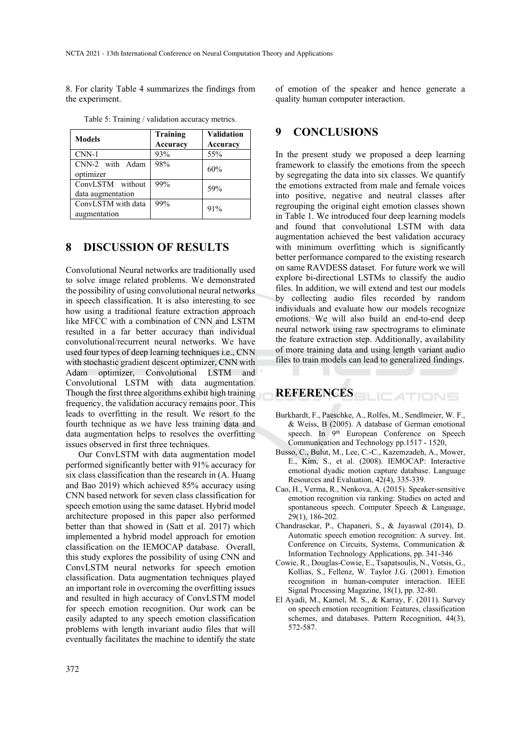8. For clarity Table 4 summarizes the findings from the experiment.

| <b>Models</b>                         | <b>Training</b><br><b>Accuracy</b> | <b>Validation</b><br><b>Accuracy</b> |
|---------------------------------------|------------------------------------|--------------------------------------|
| $CNN-1$                               | 93%                                | 55%                                  |
| CNN-2 with Adam<br>optimizer          | 98%                                | 60%                                  |
| ConvLSTM without<br>data augmentation | 99%                                | 59%                                  |
| ConvLSTM with data<br>augmentation    | 99%                                | 91%                                  |

Table 5: Training / validation accuracy metrics.

#### **8 DISCUSSION OF RESULTS**

Convolutional Neural networks are traditionally used to solve image related problems. We demonstrated the possibility of using convolutional neural networks in speech classification. It is also interesting to see how using a traditional feature extraction approach like MFCC with a combination of CNN and LSTM resulted in a far better accuracy than individual convolutional/recurrent neural networks. We have used four types of deep learning techniques i.e., CNN with stochastic gradient descent optimizer, CNN with Adam optimizer, Convolutional LSTM and Convolutional LSTM with data augmentation. Though the first three algorithms exhibit high training frequency, the validation accuracy remains poor. This leads to overfitting in the result. We resort to the fourth technique as we have less training data and data augmentation helps to resolves the overfitting issues observed in first three techniques.

Our ConvLSTM with data augmentation model performed significantly better with 91% accuracy for six class classification than the research in (A. Huang and Bao 2019) which achieved 85% accuracy using CNN based network for seven class classification for speech emotion using the same dataset. Hybrid model architecture proposed in this paper also performed better than that showed in (Satt et al. 2017) which implemented a hybrid model approach for emotion classification on the IEMOCAP database. Overall, this study explores the possibility of using CNN and ConvLSTM neural networks for speech emotion classification. Data augmentation techniques played an important role in overcoming the overfitting issues and resulted in high accuracy of ConvLSTM model for speech emotion recognition. Our work can be easily adapted to any speech emotion classification problems with length invariant audio files that will eventually facilitates the machine to identify the state

of emotion of the speaker and hence generate a quality human computer interaction.

#### **9 CONCLUSIONS**

In the present study we proposed a deep learning framework to classify the emotions from the speech by segregating the data into six classes. We quantify the emotions extracted from male and female voices into positive, negative and neutral classes after regrouping the original eight emotion classes shown in Table 1. We introduced four deep learning models and found that convolutional LSTM with data augmentation achieved the best validation accuracy with minimum overfitting which is significantly better performance compared to the existing research on same RAVDESS dataset. For future work we will explore bi-directional LSTMs to classify the audio files. In addition, we will extend and test our models by collecting audio files recorded by random individuals and evaluate how our models recognize emotions. We will also build an end-to-end deep neural network using raw spectrograms to eliminate the feature extraction step. Additionally, availability of more training data and using length variant audio files to train models can lead to generalized findings.

## **REFERENCES**

- Burkhardt, F., Paeschke, A., Rolfes, M., Sendlmeier, W. F., & Weiss, B (2005). A database of German emotional speech. In 9<sup>th</sup> European Conference on Speech Communication and Technology pp.1517 - 1520,
- Busso, C., Bulut, M., Lee, C.-C., Kazemzadeh, A., Mower, E., Kim, S., et al. (2008). IEMOCAP: Interactive emotional dyadic motion capture database. Language Resources and Evaluation, 42(4), 335-339.
- Cao, H., Verma, R., Nenkova, A. (2015). Speaker-sensitive emotion recognition via ranking: Studies on acted and spontaneous speech. Computer Speech & Language, 29(1), 186-202.
- Chandrasekar, P., Chapaneri, S., & Jayaswal (2014), D. Automatic speech emotion recognition: A survey. Int. Conference on Circuits, Systems, Communication & Information Technology Applications, pp. 341-346
- Cowie, R., Douglas-Cowie, E., Tsapatsoulis, N., Votsis, G., Kollias, S., Fellenz, W. Taylor J.G. (2001). Emotion recognition in human-computer interaction. IEEE Signal Processing Magazine, 18(1), pp. 32-80.
- El Ayadi, M., Kamel, M. S., & Karray, F. (2011). Survey on speech emotion recognition: Features, classification schemes, and databases. Pattern Recognition, 44(3), 572-587.